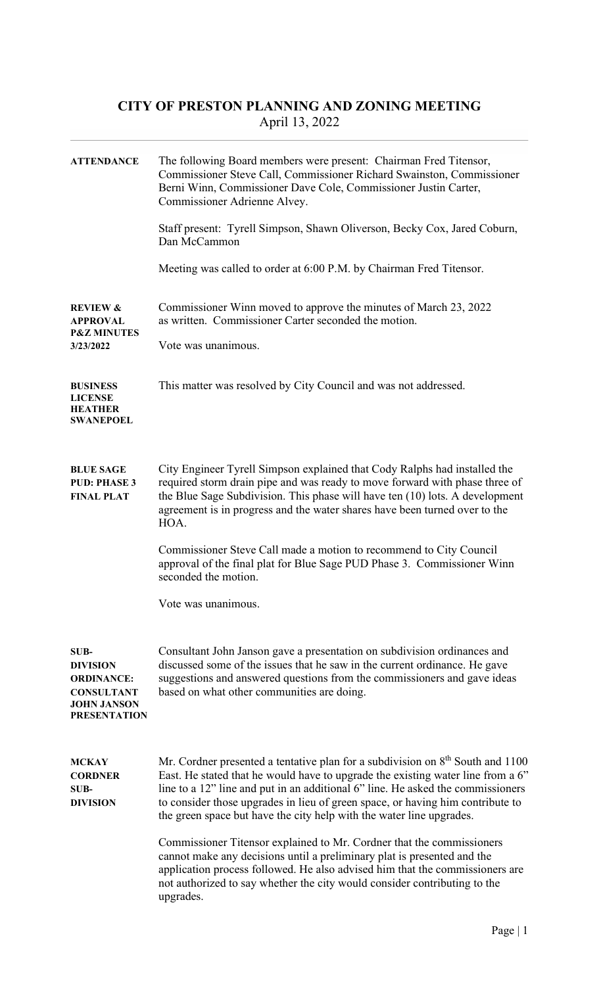## CITY OF PRESTON PLANNING AND ZONING MEETING April 13, 2022

| <b>ATTENDANCE</b>                                                                                                     | The following Board members were present: Chairman Fred Titensor,<br>Commissioner Steve Call, Commissioner Richard Swainston, Commissioner<br>Berni Winn, Commissioner Dave Cole, Commissioner Justin Carter,<br>Commissioner Adrienne Alvey.                                                                                                                                                                    |  |  |
|-----------------------------------------------------------------------------------------------------------------------|------------------------------------------------------------------------------------------------------------------------------------------------------------------------------------------------------------------------------------------------------------------------------------------------------------------------------------------------------------------------------------------------------------------|--|--|
|                                                                                                                       | Staff present: Tyrell Simpson, Shawn Oliverson, Becky Cox, Jared Coburn,<br>Dan McCammon                                                                                                                                                                                                                                                                                                                         |  |  |
|                                                                                                                       | Meeting was called to order at 6:00 P.M. by Chairman Fred Titensor.                                                                                                                                                                                                                                                                                                                                              |  |  |
| <b>REVIEW &amp;</b><br><b>APPROVAL</b><br><b>P&amp;Z MINUTES</b>                                                      | Commissioner Winn moved to approve the minutes of March 23, 2022<br>as written. Commissioner Carter seconded the motion.                                                                                                                                                                                                                                                                                         |  |  |
| 3/23/2022                                                                                                             | Vote was unanimous.                                                                                                                                                                                                                                                                                                                                                                                              |  |  |
| <b>BUSINESS</b><br><b>LICENSE</b><br><b>HEATHER</b><br><b>SWANEPOEL</b>                                               | This matter was resolved by City Council and was not addressed.                                                                                                                                                                                                                                                                                                                                                  |  |  |
| <b>BLUE SAGE</b><br><b>PUD: PHASE 3</b><br><b>FINAL PLAT</b>                                                          | City Engineer Tyrell Simpson explained that Cody Ralphs had installed the<br>required storm drain pipe and was ready to move forward with phase three of<br>the Blue Sage Subdivision. This phase will have ten (10) lots. A development<br>agreement is in progress and the water shares have been turned over to the<br>HOA.                                                                                   |  |  |
|                                                                                                                       | Commissioner Steve Call made a motion to recommend to City Council<br>approval of the final plat for Blue Sage PUD Phase 3. Commissioner Winn<br>seconded the motion.                                                                                                                                                                                                                                            |  |  |
|                                                                                                                       | Vote was unanimous.                                                                                                                                                                                                                                                                                                                                                                                              |  |  |
| <b>SUB-</b><br><b>DIVISION</b><br><b>ORDINANCE:</b><br><b>CONSULTANT</b><br><b>JOHN JANSON</b><br><b>PRESENTATION</b> | Consultant John Janson gave a presentation on subdivision ordinances and<br>discussed some of the issues that he saw in the current ordinance. He gave<br>suggestions and answered questions from the commissioners and gave ideas<br>based on what other communities are doing.                                                                                                                                 |  |  |
| <b>MCKAY</b><br><b>CORDNER</b><br>SUB-<br><b>DIVISION</b>                                                             | Mr. Cordner presented a tentative plan for a subdivision on $8th$ South and 1100<br>East. He stated that he would have to upgrade the existing water line from a 6"<br>line to a 12" line and put in an additional 6" line. He asked the commissioners<br>to consider those upgrades in lieu of green space, or having him contribute to<br>the green space but have the city help with the water line upgrades. |  |  |
|                                                                                                                       | Commissioner Titensor explained to Mr. Cordner that the commissioners<br>cannot make any decisions until a preliminary plat is presented and the<br>application process followed. He also advised him that the commissioners are<br>not authorized to say whether the city would consider contributing to the<br>upgrades.                                                                                       |  |  |